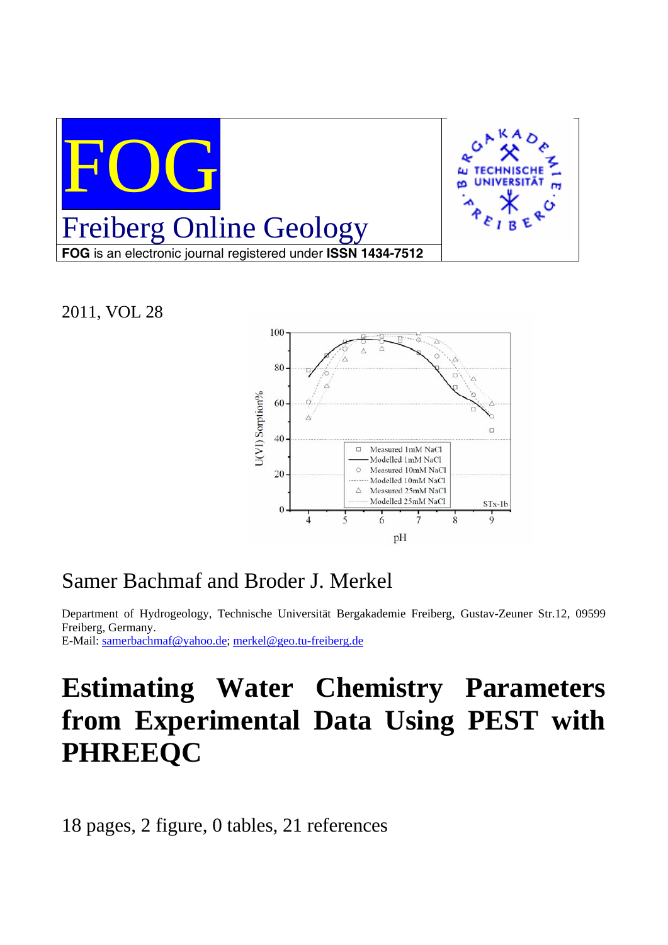

2011, VOL 28



## Samer Bachmaf and Broder J. Merkel

Department of Hydrogeology, Technische Universität Bergakademie Freiberg, Gustav-Zeuner Str.12, 09599 Freiberg, Germany.

E-Mail: samerbachmaf@yahoo.de; merkel@geo.tu-freiberg.de

# **Estimating Water Chemistry Parameters from Experimental Data Using PEST with PHREEQC**

18 pages, 2 figure, 0 tables, 21 references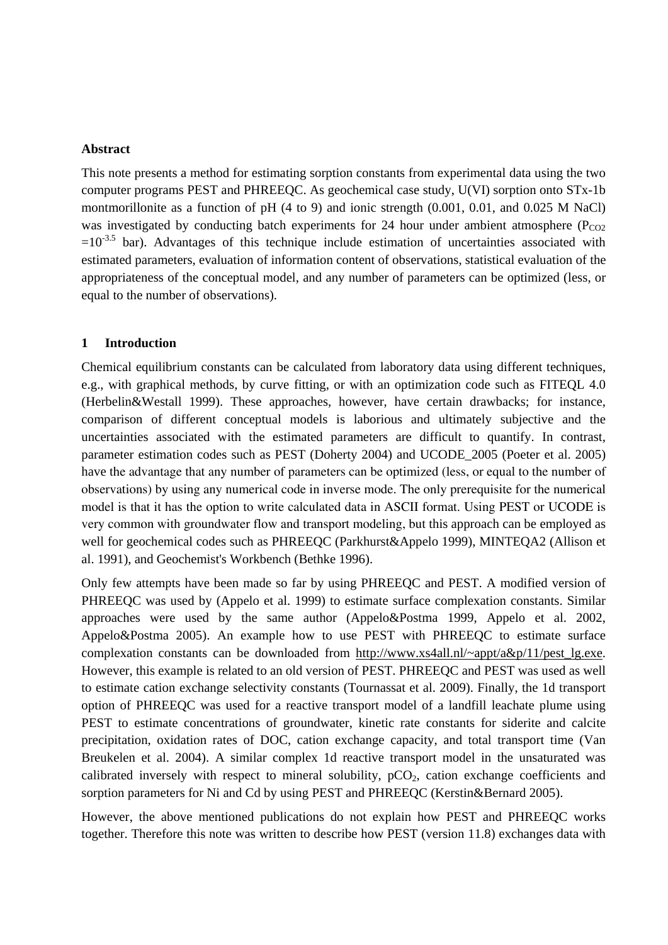#### **Abstract**

This note presents a method for estimating sorption constants from experimental data using the two computer programs PEST and PHREEQC. As geochemical case study, U(VI) sorption onto STx-1b montmorillonite as a function of pH (4 to 9) and ionic strength (0.001, 0.01, and 0.025 M NaCl) was investigated by conducting batch experiments for 24 hour under ambient atmosphere ( $P_{CO2}$ )  $=10^{-3.5}$  bar). Advantages of this technique include estimation of uncertainties associated with estimated parameters, evaluation of information content of observations, statistical evaluation of the appropriateness of the conceptual model, and any number of parameters can be optimized (less, or equal to the number of observations).

#### **1 Introduction**

Chemical equilibrium constants can be calculated from laboratory data using different techniques, e.g., with graphical methods, by curve fitting, or with an optimization code such as FITEQL 4.0 (Herbelin&Westall 1999). These approaches, however, have certain drawbacks; for instance, comparison of different conceptual models is laborious and ultimately subjective and the uncertainties associated with the estimated parameters are difficult to quantify. In contrast, parameter estimation codes such as PEST (Doherty 2004) and UCODE\_2005 (Poeter et al. 2005) have the advantage that any number of parameters can be optimized (less, or equal to the number of observations) by using any numerical code in inverse mode. The only prerequisite for the numerical model is that it has the option to write calculated data in ASCII format. Using PEST or UCODE is very common with groundwater flow and transport modeling, but this approach can be employed as well for geochemical codes such as PHREEQC (Parkhurst&Appelo 1999), MINTEQA2 (Allison et al. 1991), and Geochemist's Workbench (Bethke 1996).

Only few attempts have been made so far by using PHREEQC and PEST. A modified version of PHREEQC was used by (Appelo et al. 1999) to estimate surface complexation constants. Similar approaches were used by the same author (Appelo&Postma 1999, Appelo et al. 2002, Appelo&Postma 2005). An example how to use PEST with PHREEQC to estimate surface complexation constants can be downloaded from http://www.xs4all.nl/~appt/a&p/11/pest\_lg.exe. However, this example is related to an old version of PEST. PHREEQC and PEST was used as well to estimate cation exchange selectivity constants (Tournassat et al. 2009). Finally, the 1d transport option of PHREEQC was used for a reactive transport model of a landfill leachate plume using PEST to estimate concentrations of groundwater, kinetic rate constants for siderite and calcite precipitation, oxidation rates of DOC, cation exchange capacity, and total transport time (Van Breukelen et al. 2004). A similar complex 1d reactive transport model in the unsaturated was calibrated inversely with respect to mineral solubility,  $pCO<sub>2</sub>$ , cation exchange coefficients and sorption parameters for Ni and Cd by using PEST and PHREEQC (Kerstin&Bernard 2005).

However, the above mentioned publications do not explain how PEST and PHREEQC works together. Therefore this note was written to describe how PEST (version 11.8) exchanges data with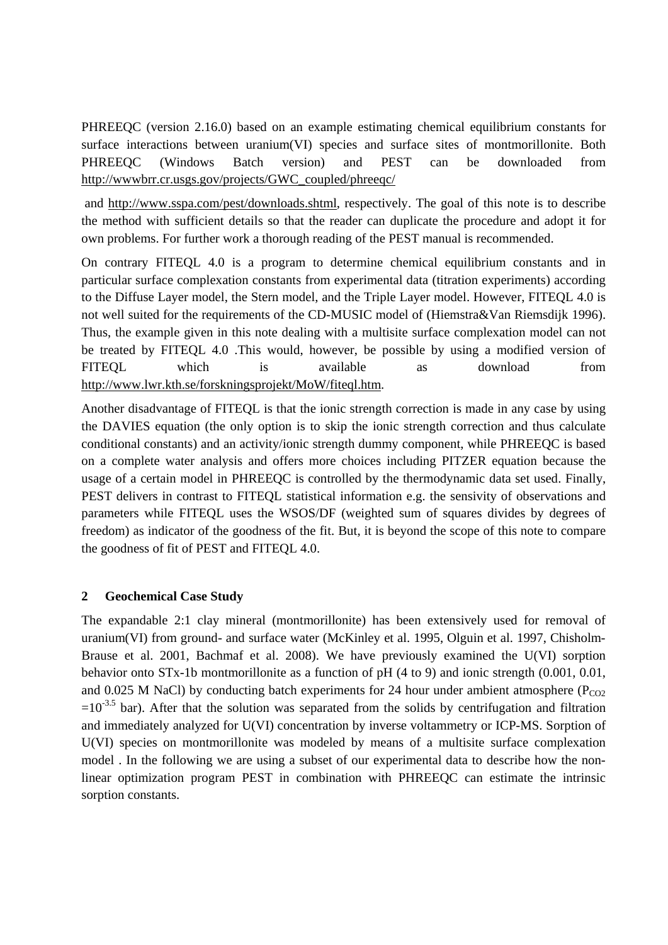PHREEQC (version 2.16.0) based on an example estimating chemical equilibrium constants for surface interactions between uranium(VI) species and surface sites of montmorillonite. Both PHREEQC (Windows Batch version) and PEST can be downloaded from http://wwwbrr.cr.usgs.gov/projects/GWC\_coupled/phreeqc/

 and http://www.sspa.com/pest/downloads.shtml, respectively. The goal of this note is to describe the method with sufficient details so that the reader can duplicate the procedure and adopt it for own problems. For further work a thorough reading of the PEST manual is recommended.

On contrary FITEQL 4.0 is a program to determine chemical equilibrium constants and in particular surface complexation constants from experimental data (titration experiments) according to the Diffuse Layer model, the Stern model, and the Triple Layer model. However, FITEQL 4.0 is not well suited for the requirements of the CD-MUSIC model of (Hiemstra&Van Riemsdijk 1996). Thus, the example given in this note dealing with a multisite surface complexation model can not be treated by FITEQL 4.0 .This would, however, be possible by using a modified version of FITEQL which is available as download from http://www.lwr.kth.se/forskningsprojekt/MoW/fiteql.htm.

Another disadvantage of FITEQL is that the ionic strength correction is made in any case by using the DAVIES equation (the only option is to skip the ionic strength correction and thus calculate conditional constants) and an activity/ionic strength dummy component, while PHREEQC is based on a complete water analysis and offers more choices including PITZER equation because the usage of a certain model in PHREEQC is controlled by the thermodynamic data set used. Finally, PEST delivers in contrast to FITEQL statistical information e.g. the sensivity of observations and parameters while FITEQL uses the WSOS/DF (weighted sum of squares divides by degrees of freedom) as indicator of the goodness of the fit. But, it is beyond the scope of this note to compare the goodness of fit of PEST and FITEQL 4.0.

#### **2 Geochemical Case Study**

The expandable 2:1 clay mineral (montmorillonite) has been extensively used for removal of uranium(VI) from ground- and surface water (McKinley et al. 1995, Olguin et al. 1997, Chisholm-Brause et al. 2001, Bachmaf et al. 2008). We have previously examined the U(VI) sorption behavior onto STx-1b montmorillonite as a function of pH (4 to 9) and ionic strength (0.001, 0.01, and 0.025 M NaCl) by conducting batch experiments for 24 hour under ambient atmosphere ( $P_{CO2}$ )  $=10^{-3.5}$  bar). After that the solution was separated from the solids by centrifugation and filtration and immediately analyzed for U(VI) concentration by inverse voltammetry or ICP-MS. Sorption of U(VI) species on montmorillonite was modeled by means of a multisite surface complexation model . In the following we are using a subset of our experimental data to describe how the nonlinear optimization program PEST in combination with PHREEQC can estimate the intrinsic sorption constants.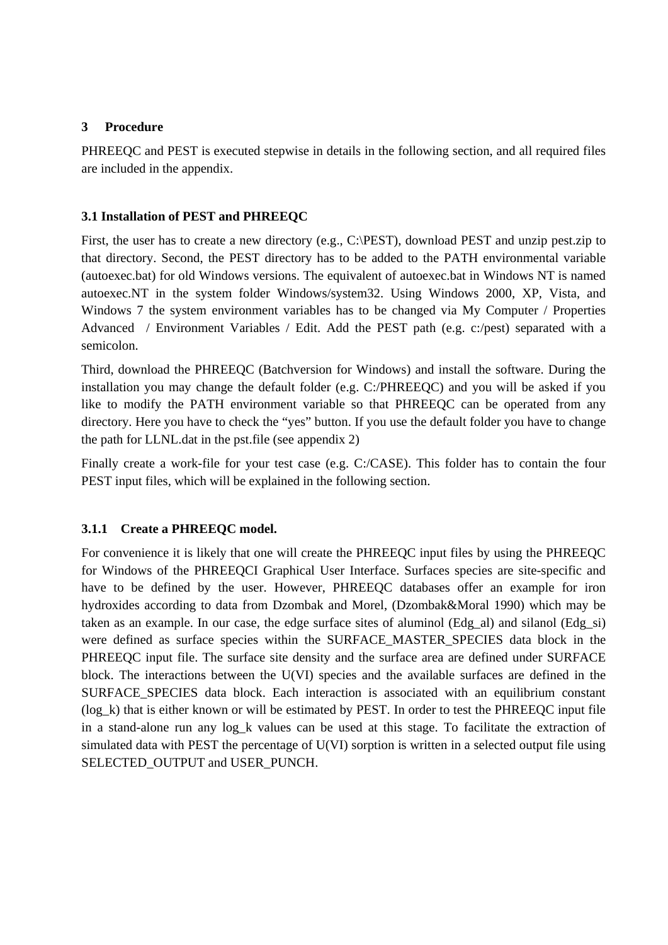#### **3 Procedure**

PHREEQC and PEST is executed stepwise in details in the following section, and all required files are included in the appendix.

#### **3.1 Installation of PEST and PHREEQC**

First, the user has to create a new directory (e.g., C:\PEST), download PEST and unzip pest.zip to that directory. Second, the PEST directory has to be added to the PATH environmental variable (autoexec.bat) for old Windows versions. The equivalent of autoexec.bat in Windows NT is named autoexec.NT in the system folder Windows/system32. Using Windows 2000, XP, Vista, and Windows 7 the system environment variables has to be changed via My Computer / Properties Advanced / Environment Variables / Edit. Add the PEST path (e.g. c:/pest) separated with a semicolon.

Third, download the PHREEQC (Batchversion for Windows) and install the software. During the installation you may change the default folder (e.g. C:/PHREEQC) and you will be asked if you like to modify the PATH environment variable so that PHREEQC can be operated from any directory. Here you have to check the "yes" button. If you use the default folder you have to change the path for LLNL.dat in the pst.file (see appendix 2)

Finally create a work-file for your test case (e.g. C:/CASE). This folder has to contain the four PEST input files, which will be explained in the following section.

### **3.1.1 Create a PHREEQC model.**

For convenience it is likely that one will create the PHREEQC input files by using the PHREEQC for Windows of the PHREEQCI Graphical User Interface. Surfaces species are site-specific and have to be defined by the user. However, PHREEQC databases offer an example for iron hydroxides according to data from Dzombak and Morel, (Dzombak&Moral 1990) which may be taken as an example. In our case, the edge surface sites of aluminol (Edg\_al) and silanol (Edg\_si) were defined as surface species within the SURFACE\_MASTER\_SPECIES data block in the PHREEQC input file. The surface site density and the surface area are defined under SURFACE block. The interactions between the U(VI) species and the available surfaces are defined in the SURFACE\_SPECIES data block. Each interaction is associated with an equilibrium constant (log\_k) that is either known or will be estimated by PEST. In order to test the PHREEQC input file in a stand-alone run any log\_k values can be used at this stage. To facilitate the extraction of simulated data with PEST the percentage of U(VI) sorption is written in a selected output file using SELECTED\_OUTPUT and USER\_PUNCH.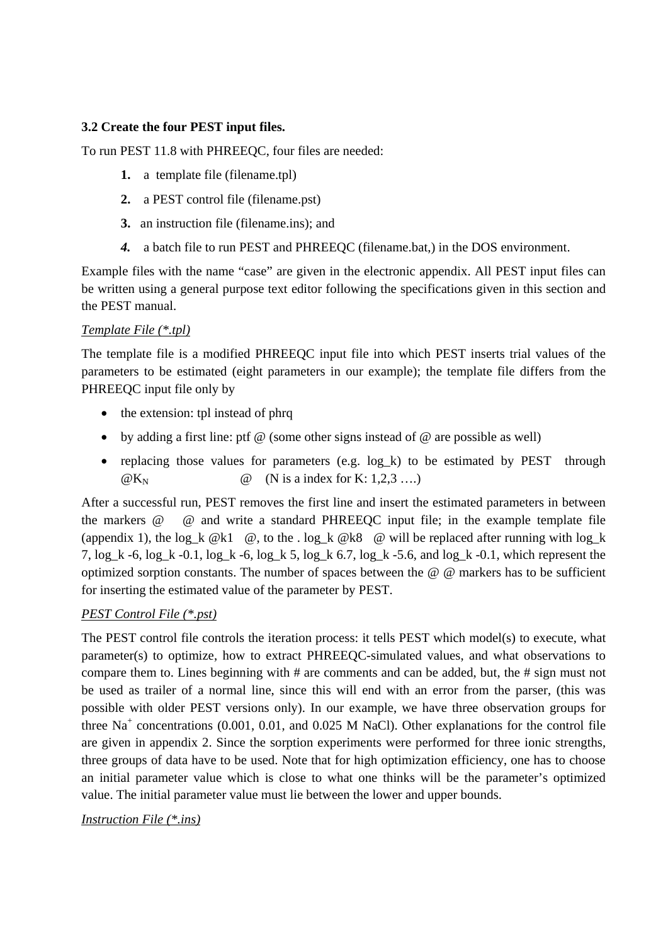### **3.2 Create the four PEST input files.**

To run PEST 11.8 with PHREEQC, four files are needed:

- **1.** a template file (filename.tpl)
- **2.** a PEST control file (filename.pst)
- **3.** an instruction file (filename.ins); and
- *4.* a batch file to run PEST and PHREEQC (filename.bat,) in the DOS environment.

Example files with the name "case" are given in the electronic appendix. All PEST input files can be written using a general purpose text editor following the specifications given in this section and the PEST manual.

#### *Template File (\*.tpl)*

The template file is a modified PHREEQC input file into which PEST inserts trial values of the parameters to be estimated (eight parameters in our example); the template file differs from the PHREEQC input file only by

- the extension: tpl instead of phrq
- by adding a first line: ptf  $\omega$  (some other signs instead of  $\omega$  are possible as well)
- replacing those values for parameters (e.g. log\_k) to be estimated by PEST through  $@K_N$   $@$  (N is a index for K: 1,2,3 ....)

After a successful run, PEST removes the first line and insert the estimated parameters in between the markers @ @ and write a standard PHREEQC input file; in the example template file (appendix 1), the log k  $@k1$   $@$ , to the . log k  $@k8$   $@$  will be replaced after running with log k 7, log\_k -6, log\_k -0.1, log\_k -6, log\_k 5, log\_k 6.7, log\_k -5.6, and log\_k -0.1, which represent the optimized sorption constants. The number of spaces between the @ @ markers has to be sufficient for inserting the estimated value of the parameter by PEST.

#### *PEST Control File (\*.pst)*

The PEST control file controls the iteration process: it tells PEST which model(s) to execute, what parameter(s) to optimize, how to extract PHREEQC-simulated values, and what observations to compare them to. Lines beginning with # are comments and can be added, but, the # sign must not be used as trailer of a normal line, since this will end with an error from the parser, (this was possible with older PEST versions only). In our example, we have three observation groups for three  $Na<sup>+</sup>$  concentrations (0.001, 0.01, and 0.025 M NaCl). Other explanations for the control file are given in appendix 2. Since the sorption experiments were performed for three ionic strengths, three groups of data have to be used. Note that for high optimization efficiency, one has to choose an initial parameter value which is close to what one thinks will be the parameter's optimized value. The initial parameter value must lie between the lower and upper bounds.

#### *Instruction File (\*.ins)*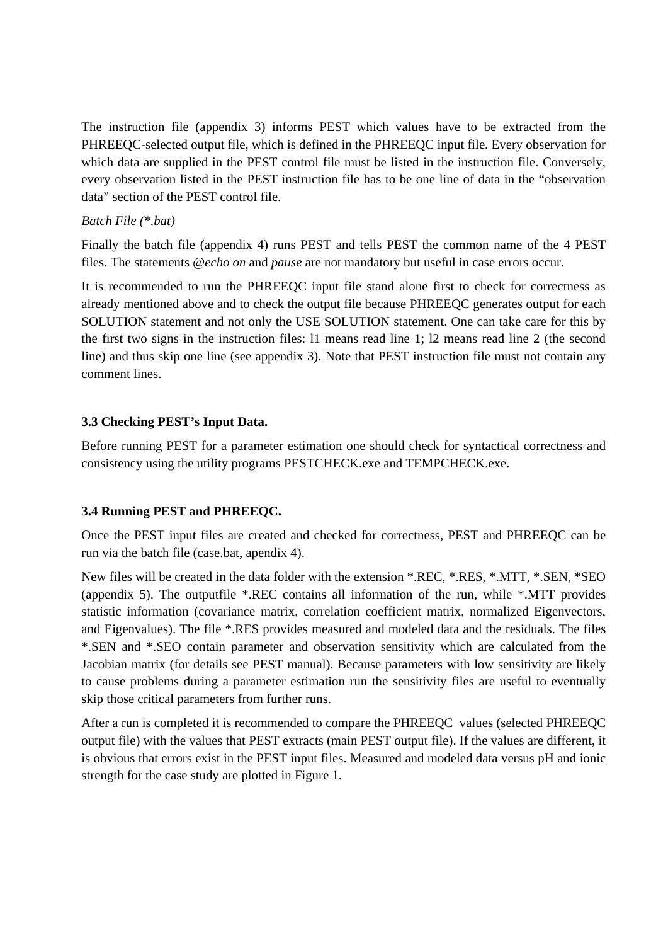The instruction file (appendix 3) informs PEST which values have to be extracted from the PHREEQC-selected output file, which is defined in the PHREEQC input file. Every observation for which data are supplied in the PEST control file must be listed in the instruction file. Conversely, every observation listed in the PEST instruction file has to be one line of data in the "observation data" section of the PEST control file.

#### *Batch File (\*.bat)*

Finally the batch file (appendix 4) runs PEST and tells PEST the common name of the 4 PEST files. The statements *@echo on* and *pause* are not mandatory but useful in case errors occur.

It is recommended to run the PHREEQC input file stand alone first to check for correctness as already mentioned above and to check the output file because PHREEQC generates output for each SOLUTION statement and not only the USE SOLUTION statement. One can take care for this by the first two signs in the instruction files: l1 means read line 1; l2 means read line 2 (the second line) and thus skip one line (see appendix 3). Note that PEST instruction file must not contain any comment lines.

#### **3.3 Checking PEST's Input Data.**

Before running PEST for a parameter estimation one should check for syntactical correctness and consistency using the utility programs PESTCHECK.exe and TEMPCHECK.exe.

#### **3.4 Running PEST and PHREEQC.**

Once the PEST input files are created and checked for correctness, PEST and PHREEQC can be run via the batch file (case.bat, apendix 4).

New files will be created in the data folder with the extension \*.REC, \*.RES, \*.MTT, \*.SEN, \*SEO (appendix 5). The outputfile \*.REC contains all information of the run, while \*.MTT provides statistic information (covariance matrix, correlation coefficient matrix, normalized Eigenvectors, and Eigenvalues). The file \*.RES provides measured and modeled data and the residuals. The files \*.SEN and \*.SEO contain parameter and observation sensitivity which are calculated from the Jacobian matrix (for details see PEST manual). Because parameters with low sensitivity are likely to cause problems during a parameter estimation run the sensitivity files are useful to eventually skip those critical parameters from further runs.

After a run is completed it is recommended to compare the PHREEQC values (selected PHREEQC output file) with the values that PEST extracts (main PEST output file). If the values are different, it is obvious that errors exist in the PEST input files. Measured and modeled data versus pH and ionic strength for the case study are plotted in Figure 1.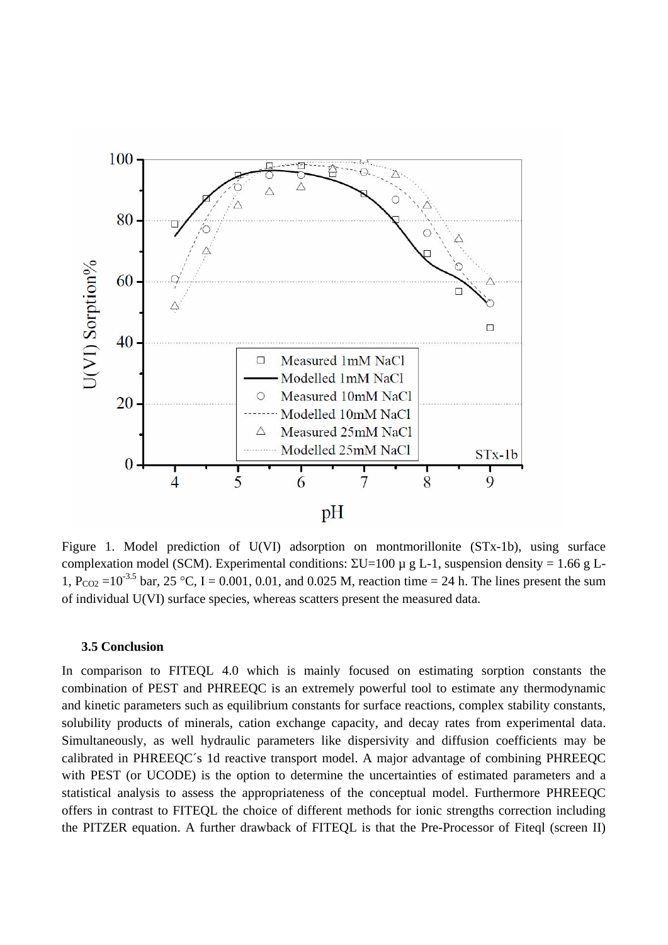

Figure 1. Model prediction of U(VI) adsorption on montmorillonite (STx-1b), using surface complexation model (SCM). Experimental conditions:  $\Sigma$ U=100 μ g L-1, suspension density = 1.66 g L-1,  $P_{CO2} = 10^{-3.5}$  bar, 25 °C, I = 0.001, 0.01, and 0.025 M, reaction time = 24 h. The lines present the sum of individual U(VI) surface species, whereas scatters present the measured data.

#### **3.5 Conclusion**

In comparison to FITEQL 4.0 which is mainly focused on estimating sorption constants the combination of PEST and PHREEQC is an extremely powerful tool to estimate any thermodynamic and kinetic parameters such as equilibrium constants for surface reactions, complex stability constants, solubility products of minerals, cation exchange capacity, and decay rates from experimental data. Simultaneously, as well hydraulic parameters like dispersivity and diffusion coefficients may be calibrated in PHREEQC´s 1d reactive transport model. A major advantage of combining PHREEQC with PEST (or UCODE) is the option to determine the uncertainties of estimated parameters and a statistical analysis to assess the appropriateness of the conceptual model. Furthermore PHREEQC offers in contrast to FITEQL the choice of different methods for ionic strengths correction including the PITZER equation. A further drawback of FITEQL is that the Pre-Processor of Fiteql (screen II)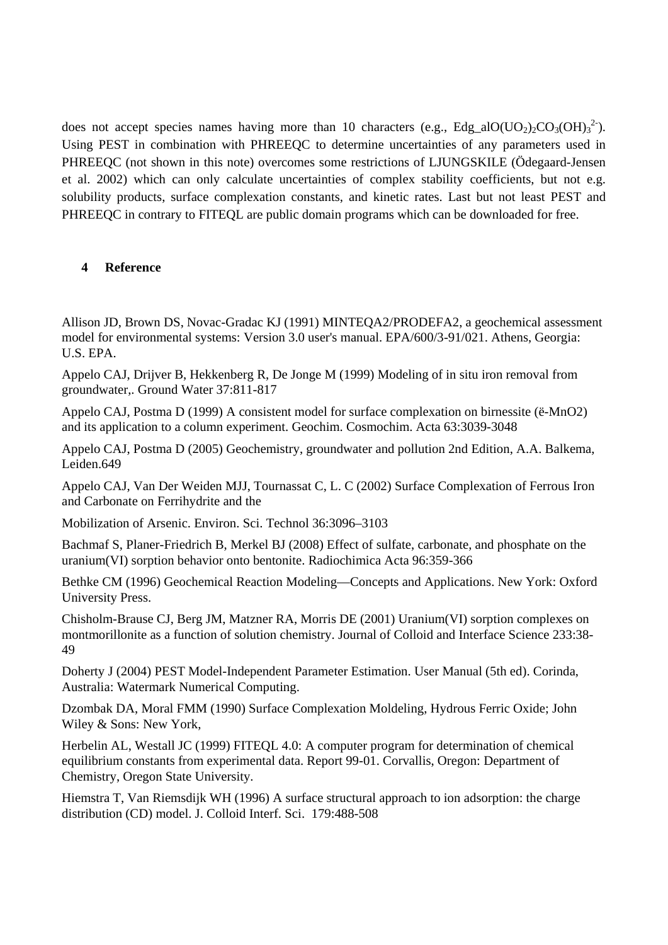does not accept species names having more than 10 characters (e.g., Edg\_alO(UO<sub>2</sub>)<sub>2</sub>CO<sub>3</sub>(OH)<sub>3</sub><sup>2</sup>). Using PEST in combination with PHREEQC to determine uncertainties of any parameters used in PHREEQC (not shown in this note) overcomes some restrictions of LJUNGSKILE (Ödegaard-Jensen et al. 2002) which can only calculate uncertainties of complex stability coefficients, but not e.g. solubility products, surface complexation constants, and kinetic rates. Last but not least PEST and PHREEQC in contrary to FITEQL are public domain programs which can be downloaded for free.

#### **4 Reference**

Allison JD, Brown DS, Novac-Gradac KJ (1991) MINTEQA2/PRODEFA2, a geochemical assessment model for environmental systems: Version 3.0 user's manual. EPA/600/3-91/021. Athens, Georgia: U.S. EPA.

Appelo CAJ, Drijver B, Hekkenberg R, De Jonge M (1999) Modeling of in situ iron removal from groundwater,. Ground Water 37:811-817

Appelo CAJ, Postma D (1999) A consistent model for surface complexation on birnessite (ë-MnO2) and its application to a column experiment. Geochim. Cosmochim. Acta 63:3039-3048

Appelo CAJ, Postma D (2005) Geochemistry, groundwater and pollution 2nd Edition, A.A. Balkema, Leiden.649

Appelo CAJ, Van Der Weiden MJJ, Tournassat C, L. C (2002) Surface Complexation of Ferrous Iron and Carbonate on Ferrihydrite and the

Mobilization of Arsenic. Environ. Sci. Technol 36:3096–3103

Bachmaf S, Planer-Friedrich B, Merkel BJ (2008) Effect of sulfate, carbonate, and phosphate on the uranium(VI) sorption behavior onto bentonite. Radiochimica Acta 96:359-366

Bethke CM (1996) Geochemical Reaction Modeling—Concepts and Applications. New York: Oxford University Press.

Chisholm-Brause CJ, Berg JM, Matzner RA, Morris DE (2001) Uranium(VI) sorption complexes on montmorillonite as a function of solution chemistry. Journal of Colloid and Interface Science 233:38- 49

Doherty J (2004) PEST Model-Independent Parameter Estimation. User Manual (5th ed). Corinda, Australia: Watermark Numerical Computing.

Dzombak DA, Moral FMM (1990) Surface Complexation Moldeling, Hydrous Ferric Oxide; John Wiley & Sons: New York,

Herbelin AL, Westall JC (1999) FITEQL 4.0: A computer program for determination of chemical equilibrium constants from experimental data. Report 99-01. Corvallis, Oregon: Department of Chemistry, Oregon State University.

Hiemstra T, Van Riemsdijk WH (1996) A surface structural approach to ion adsorption: the charge distribution (CD) model. J. Colloid Interf. Sci. 179:488-508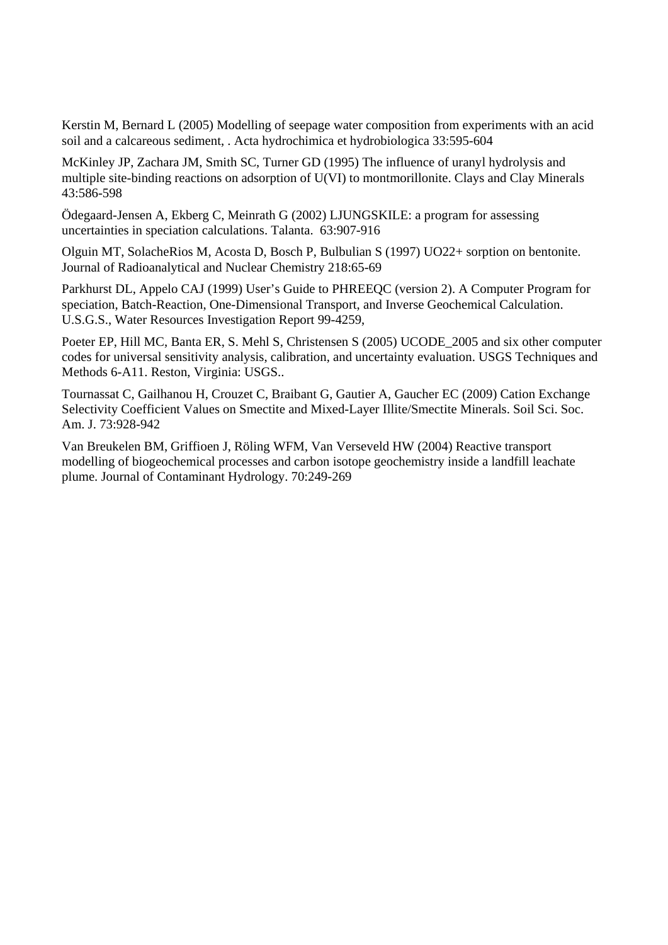Kerstin M, Bernard L (2005) Modelling of seepage water composition from experiments with an acid soil and a calcareous sediment, . Acta hydrochimica et hydrobiologica 33:595-604

McKinley JP, Zachara JM, Smith SC, Turner GD (1995) The influence of uranyl hydrolysis and multiple site-binding reactions on adsorption of U(VI) to montmorillonite. Clays and Clay Minerals 43:586-598

Ödegaard-Jensen A, Ekberg C, Meinrath G (2002) LJUNGSKILE: a program for assessing uncertainties in speciation calculations. Talanta. 63:907-916

Olguin MT, SolacheRios M, Acosta D, Bosch P, Bulbulian S (1997) UO22+ sorption on bentonite. Journal of Radioanalytical and Nuclear Chemistry 218:65-69

Parkhurst DL, Appelo CAJ (1999) User's Guide to PHREEQC (version 2). A Computer Program for speciation, Batch-Reaction, One-Dimensional Transport, and Inverse Geochemical Calculation. U.S.G.S., Water Resources Investigation Report 99-4259,

Poeter EP, Hill MC, Banta ER, S. Mehl S, Christensen S (2005) UCODE\_2005 and six other computer codes for universal sensitivity analysis, calibration, and uncertainty evaluation. USGS Techniques and Methods 6-A11. Reston, Virginia: USGS..

Tournassat C, Gailhanou H, Crouzet C, Braibant G, Gautier A, Gaucher EC (2009) Cation Exchange Selectivity Coefficient Values on Smectite and Mixed-Layer Illite/Smectite Minerals. Soil Sci. Soc. Am. J. 73:928-942

Van Breukelen BM, Griffioen J, Röling WFM, Van Verseveld HW (2004) Reactive transport modelling of biogeochemical processes and carbon isotope geochemistry inside a landfill leachate plume. Journal of Contaminant Hydrology. 70:249-269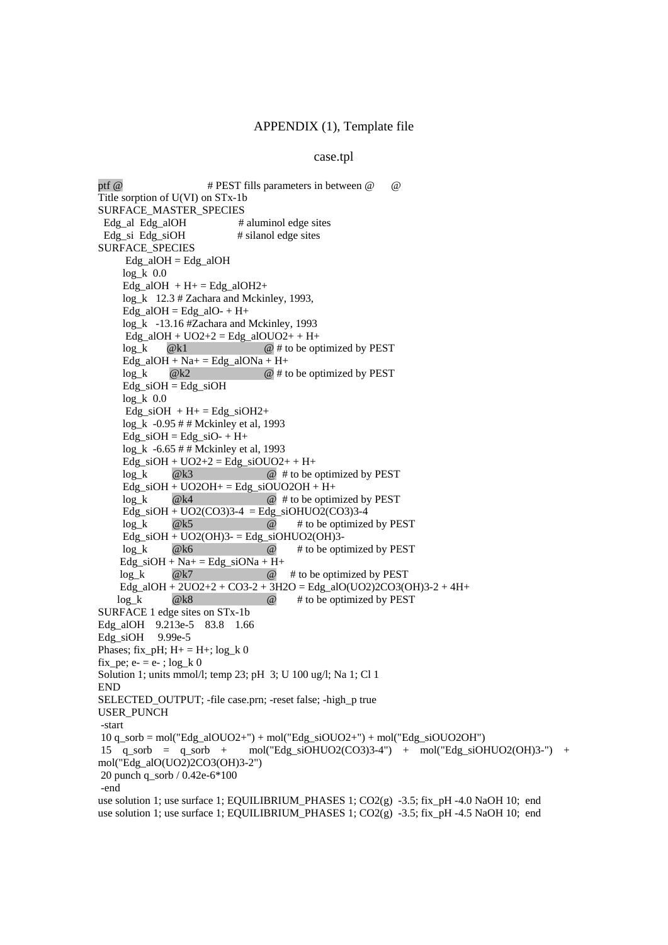#### case.tpl

ptf @ # PEST fills parameters in between @ @ Title sorption of U(VI) on STx-1b SURFACE\_MASTER\_SPECIES Edg\_al Edg\_alOH # aluminol edge sites Edg\_si Edg\_siOH # silanol edge sites SURFACE\_SPECIES  $Edg$ \_alOH =  $Edg$ \_alOH  $log k$  0.0  $Edg_aIOH + H+= Edg_aIOH2+$  log\_k 12.3 # Zachara and Mckinley, 1993,  $Edg_aIOH = Edg_aIO - H +$  log\_k -13.16 #Zachara and Mckinley, 1993  $Edg_a1OH + UO2+2 = Edg_a1OUO2+ + H+$  $\log k$  @k1 @ # to be optimized by PEST Edg\_alOH + Na+ = Edg\_alONa + H+  $log k$  @k2 @ # to be optimized by PEST  $Edg$ \_siOH =  $Edg$ \_siOH  $log_k 0.0$ Edg\_siOH  $+ H + =$  Edg\_siOH2+ log\_k -0.95 # # Mckinley et al, 1993 Edg\_siOH = Edg\_siO- + H+  $log k -6.65 # #$  Mckinley et al, 1993  $Edg$ <sub>si</sub>OH + UO2+2 =  $Edg$ <sub>si</sub>OUO2+ + H+  $log k$  @k3 @ # to be optimized by PEST  $Edg$ <sub>si</sub>OH + UO2OH +  $Edg$ <sub>si</sub>OUO2OH + H +  $log_k$  @ # to be optimized by PEST Edg\_siOH + UO2(CO3)3-4 = Edg\_siOHUO2(CO3)3-4  $log k$  @k5  $\qquad \qquad \textcircled{a} \qquad \text{\# to be optimized by PEST}$ Edg\_siOH +  $UO2(OH)3 = Edg$ \_siOHUO2(OH)3 log\_k @k6 @ # to be optimized by PEST  $Edg$ \_siOH + Na+ =  $Edg$ \_siONa + H+ log\_k @k7 @ # to be optimized by PEST Edg\_alOH + 2UO2+2 + CO3-2 + 3H2O = Edg\_alO(UO2)2CO3(OH)3-2 + 4H+  $log_k$  @k8  $\qquad \qquad \emptyset$  # to be optimized by PEST SURFACE 1 edge sites on STx-1b Edg\_alOH 9.213e-5 83.8 1.66 Edg\_siOH 9.99e-5 Phases; fix\_pH;  $H+ = H+$ ; log\_k 0 fix pe; e- = e- ; log  $k 0$ Solution 1; units mmol/l; temp 23; pH 3; U 100 ug/l; Na 1; Cl 1 END SELECTED\_OUTPUT; -file case.prn; -reset false; -high\_p true USER\_PUNCH -start  $10$  q\_sorb = mol("Edg\_alOUO2+") + mol("Edg\_siOUO2+") + mol("Edg\_siOUO2OH") 15 q\_sorb = q\_sorb + mol("Edg\_siOHUO2(CO3)3-4") + mol("Edg\_siOHUO2(OH)3-") + mol("Edg\_alO(UO2)2CO3(OH)3-2") 20 punch q\_sorb / 0.42e-6\*100 -end use solution 1; use surface 1; EQUILIBRIUM PHASES 1;  $CO2(g)$  -3.5; fix pH -4.0 NaOH 10; end use solution 1; use surface 1; EQUILIBRIUM\_PHASES 1;  $CO2(g)$  -3.5; fix\_pH -4.5 NaOH 10; end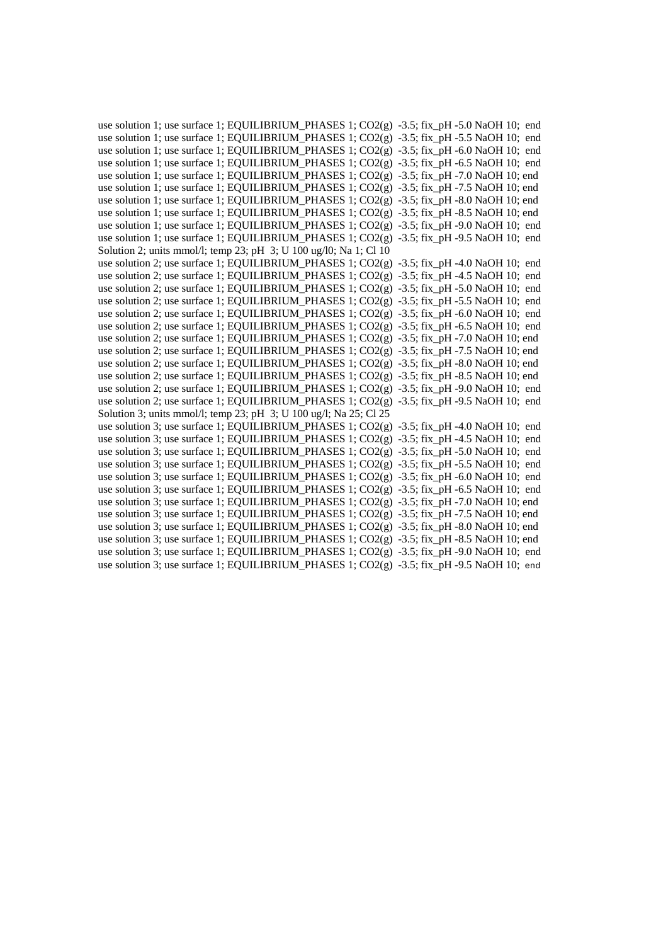| use solution 1; use surface 1; EQUILIBRIUM_PHASES 1; CO2(g) -3.5; fix_pH -5.0 NaOH 10; end      |
|-------------------------------------------------------------------------------------------------|
| use solution 1; use surface 1; EQUILIBRIUM_PHASES 1; CO2(g) -3.5; fix_pH -5.5 NaOH 10; end      |
| use solution 1; use surface 1; EQUILIBRIUM_PHASES 1; $CO2(g)$ -3.5; fix_pH -6.0 NaOH 10; end    |
| use solution 1; use surface 1; EQUILIBRIUM_PHASES 1; CO2(g) -3.5; fix_pH -6.5 NaOH 10; end      |
| use solution 1; use surface 1; EQUILIBRIUM_PHASES 1; $CO2(g)$ -3.5; fix_pH -7.0 NaOH 10; end    |
| use solution 1; use surface 1; EQUILIBRIUM_PHASES 1; $CO2(g)$ -3.5; fix_pH -7.5 NaOH 10; end    |
| use solution 1; use surface 1; EQUILIBRIUM_PHASES 1; $CO2(g)$ -3.5; fix_pH -8.0 NaOH 10; end    |
| use solution 1; use surface 1; EQUILIBRIUM_PHASES 1; CO2(g) -3.5; fix_pH -8.5 NaOH 10; end      |
| use solution 1; use surface 1; EQUILIBRIUM_PHASES 1; $CO2(g)$ -3.5; fix_pH -9.0 NaOH 10; end    |
| use solution 1; use surface 1; EQUILIBRIUM_PHASES 1; CO2(g) -3.5; fix_pH -9.5 NaOH 10; end      |
| Solution 2; units mmol/l; temp 23; pH 3; U 100 ug/l0; Na 1; Cl 10                               |
| use solution 2; use surface 1; EQUILIBRIUM_PHASES 1; CO2(g) -3.5; fix_pH -4.0 NaOH 10; end      |
| use solution 2; use surface 1; EQUILIBRIUM_PHASES 1; CO2(g) -3.5; fix_pH -4.5 NaOH 10; end      |
| use solution 2; use surface 1; EQUILIBRIUM_PHASES 1; CO2(g) -3.5; fix_pH -5.0 NaOH 10; end      |
| use solution 2; use surface 1; EQUILIBRIUM_PHASES 1; $CO2(g)$ -3.5; fix_pH -5.5 NaOH 10; end    |
| use solution 2; use surface 1; EQUILIBRIUM_PHASES 1; CO2(g) -3.5; fix_pH -6.0 NaOH 10; end      |
| use solution 2; use surface 1; EQUILIBRIUM_PHASES 1; CO2(g) -3.5; fix_pH -6.5 NaOH 10; end      |
| use solution 2; use surface 1; EQUILIBRIUM_PHASES 1; $CO2(g)$ -3.5; fix_pH -7.0 NaOH 10; end    |
| use solution 2; use surface 1; EQUILIBRIUM_PHASES 1; CO2(g) $-3.5$ ; fix_pH $-7.5$ NaOH 10; end |
| use solution 2; use surface 1; EQUILIBRIUM_PHASES 1; $CO2(g)$ -3.5; fix_pH -8.0 NaOH 10; end    |
| use solution 2; use surface 1; EQUILIBRIUM_PHASES 1; CO2(g) $-3.5$ ; fix_pH $-8.5$ NaOH 10; end |
| use solution 2; use surface 1; EQUILIBRIUM_PHASES 1; CO2(g) -3.5; fix_pH -9.0 NaOH 10; end      |
| use solution 2; use surface 1; EQUILIBRIUM_PHASES 1; CO2(g) -3.5; fix_pH -9.5 NaOH 10; end      |
| Solution 3; units mmol/l; temp 23; pH 3; U 100 ug/l; Na 25; Cl 25                               |
| use solution 3; use surface 1; EQUILIBRIUM_PHASES 1; CO2(g) -3.5; fix_pH -4.0 NaOH 10; end      |
| use solution 3; use surface 1; EQUILIBRIUM_PHASES 1; CO2(g) -3.5; fix_pH -4.5 NaOH 10; end      |
| use solution 3; use surface 1; EQUILIBRIUM_PHASES 1; CO2(g) -3.5; fix_pH -5.0 NaOH 10; end      |
| use solution 3; use surface 1; EQUILIBRIUM_PHASES 1; $CO2(g)$ -3.5; fix_pH -5.5 NaOH 10; end    |
| use solution 3; use surface 1; EQUILIBRIUM_PHASES 1; CO2(g) -3.5; fix_pH -6.0 NaOH 10; end      |
| use solution 3; use surface 1; EQUILIBRIUM_PHASES 1; CO2(g) -3.5; fix_pH -6.5 NaOH 10; end      |
| use solution 3; use surface 1; EQUILIBRIUM_PHASES 1; $CO2(g)$ -3.5; fix_pH -7.0 NaOH 10; end    |
| use solution 3; use surface 1; EQUILIBRIUM_PHASES 1; CO2(g) -3.5; fix_pH -7.5 NaOH 10; end      |
| use solution 3; use surface 1; EQUILIBRIUM_PHASES 1; $CO2(g)$ -3.5; fix_pH -8.0 NaOH 10; end    |
| use solution 3; use surface 1; EQUILIBRIUM_PHASES 1; CO2(g) $-3.5$ ; fix_pH $-8.5$ NaOH 10; end |
| use solution 3; use surface 1; EQUILIBRIUM_PHASES 1; CO2(g) -3.5; fix_pH -9.0 NaOH 10; end      |
| use solution 3; use surface 1; EQUILIBRIUM_PHASES 1; CO2(g) -3.5; fix_pH -9.5 NaOH 10; end      |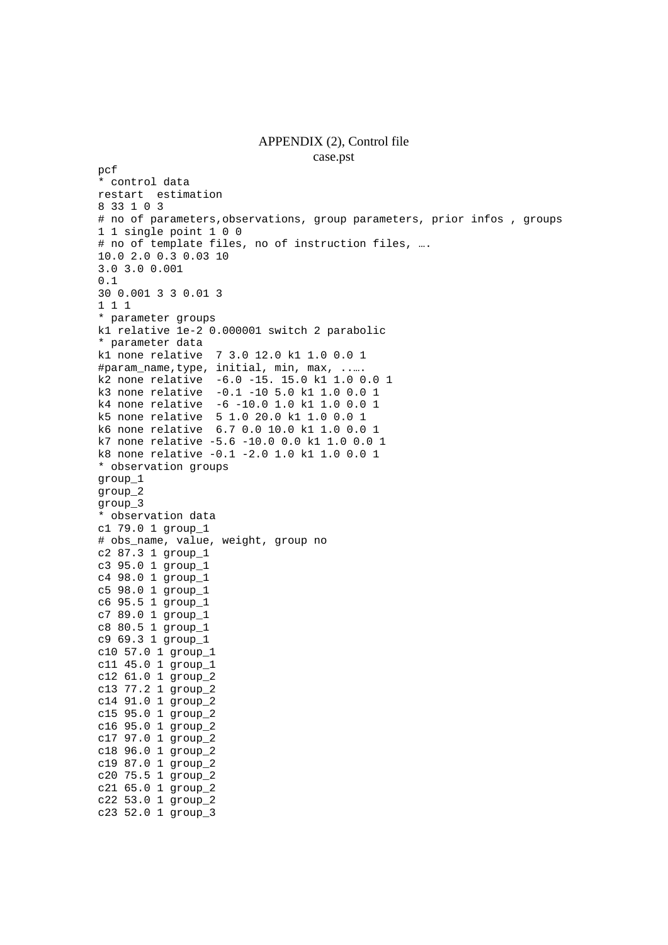## APPENDIX (2), Control file

```
case.pst 
pcf 
* control data 
restart estimation 
8 33 1 0 3 
# no of parameters,observations, group parameters, prior infos , groups 
1 1 single point 1 0 0 
# no of template files, no of instruction files, …. 
10.0 2.0 0.3 0.03 10 
3.0 3.0 0.001 
0.1 
30 0.001 3 3 0.01 3 
1 1 1 
* parameter groups 
k1 relative 1e-2 0.000001 switch 2 parabolic 
* parameter data 
k1 none relative 7 3.0 12.0 k1 1.0 0.0 1 
#param_name,type, initial, min, max, ..…. 
k2 none relative -6.0 -15. 15.0 k1 1.0 0.0 1 
k3 none relative -0.1 -10 5.0 k1 1.0 0.0 1 
k4 none relative -6 -10.0 1.0 k1 1.0 0.0 1 
k5 none relative 5 1.0 20.0 k1 1.0 0.0 1 
k6 none relative 6.7 0.0 10.0 k1 1.0 0.0 1 
k7 none relative -5.6 -10.0 0.0 k1 1.0 0.0 1 
k8 none relative -0.1 -2.0 1.0 k1 1.0 0.0 1 
* observation groups 
group_1 
group_2 
group_3 
* observation data 
c1 79.0 1 group_1 
# obs_name, value, weight, group no 
c2 87.3 1 group_1 
c3 95.0 1 group_1 
c4 98.0 1 group_1 
c5 98.0 1 group_1 
c6 95.5 1 group_1 
c7 89.0 1 group_1 
c8 80.5 1 group_1 
c9 69.3 1 group_1 
c10 57.0 1 group_1 
c11 45.0 1 group_1 
c12 61.0 1 group_2 
c13 77.2 1 group_2 
c14 91.0 1 group_2 
c15 95.0 1 group_2 
c16 95.0 1 group_2 
c17 97.0 1 group_2 
c18 96.0 1 group_2 
c19 87.0 1 group_2
```
c20 75.5 1 group\_2 c21 65.0 1 group\_2 c22 53.0 1 group\_2 c23 52.0 1 group\_3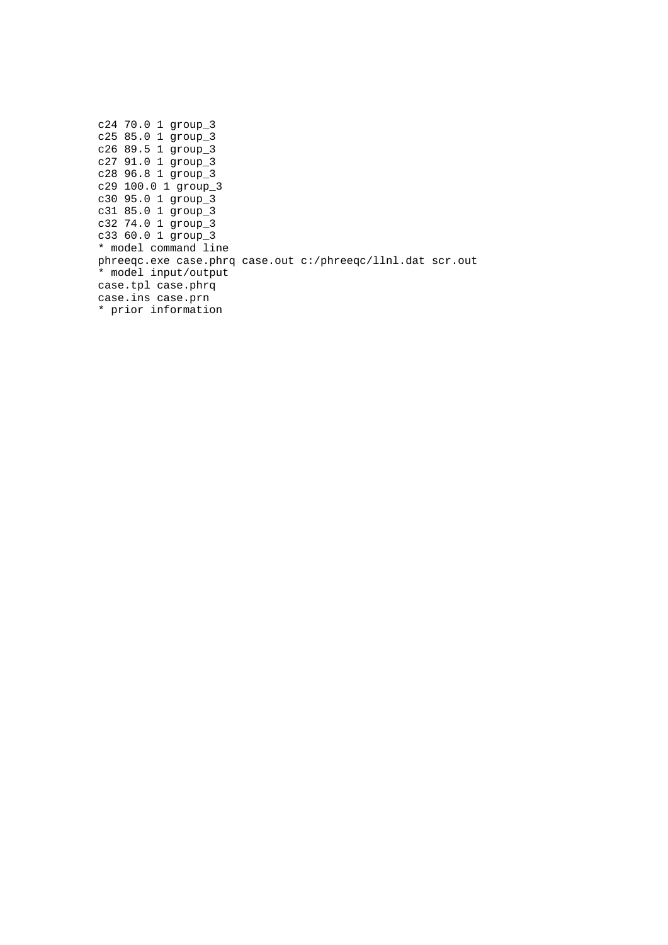c24 70.0 1 group\_3 c25 85.0 1 group\_3 c26 89.5 1 group\_3 c27 91.0 1 group\_3 c28 96.8 1 group\_3 c29 100.0 1 group\_3 c30 95.0 1 group\_3 c31 85.0 1 group\_3 c32 74.0 1 group\_3 c33 60.0 1 group\_3 \* model command line phreeqc.exe case.phrq case.out c:/phreeqc/llnl.dat scr.out \* model input/output case.tpl case.phrq case.ins case.prn \* prior information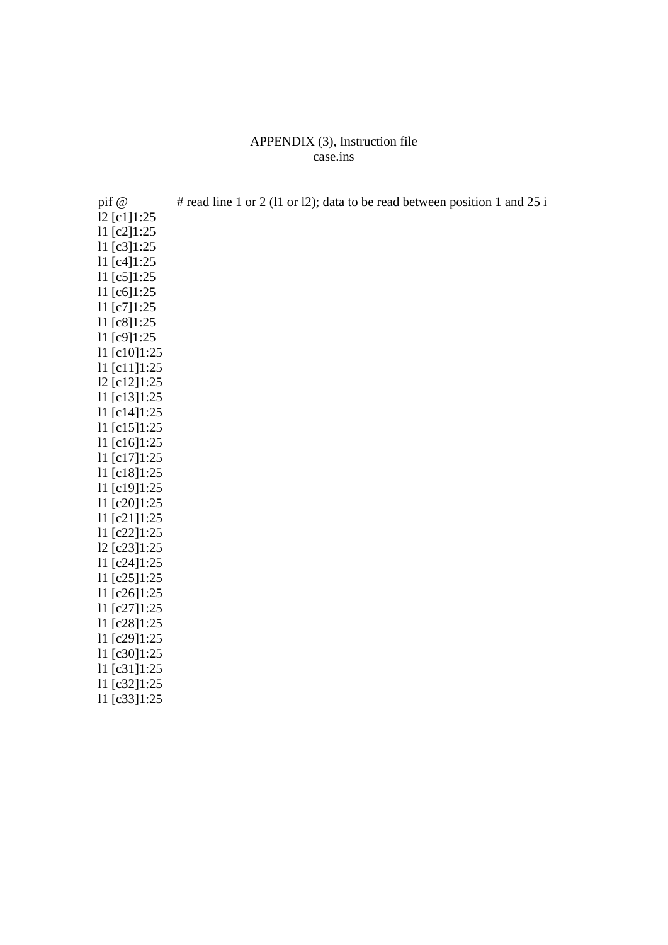### APPENDIX (3), Instruction file case.ins

| pif @             | # read line 1 or 2 (11 or 12); data to be read between position 1 and 25 i |
|-------------------|----------------------------------------------------------------------------|
| 12 [c1]1:25       |                                                                            |
| 11 [c2]1:25       |                                                                            |
| 11 [c3]1:25       |                                                                            |
| 11 [c4]1:25       |                                                                            |
| 11 [c5]1:25       |                                                                            |
| 11 [c6]1:25       |                                                                            |
| 11 [c7]1:25       |                                                                            |
| 11 [c8]1:25       |                                                                            |
| 11 [c9]1:25       |                                                                            |
| 11 [c10]1:25      |                                                                            |
| $11$ [c11]1:25    |                                                                            |
| $12$ [c12]1:25    |                                                                            |
| $11$ [c13]1:25    |                                                                            |
| 11 [c14]1:25      |                                                                            |
| 11 [c15]1:25      |                                                                            |
| 11 [c16]1:25      |                                                                            |
| 11 [c17]1:25      |                                                                            |
| 11 [c18]1:25      |                                                                            |
| $11$ [c19]1:25    |                                                                            |
| 11 [c20]1:25      |                                                                            |
| 11 [c21]1:25      |                                                                            |
| 11 [c22]1:25      |                                                                            |
| $12$ [c23] $1:25$ |                                                                            |
| 11 $[c24]1:25$    |                                                                            |
| 11 [c25]1:25      |                                                                            |
| 11 $[c26]1:25$    |                                                                            |
| 11 [c27]1:25      |                                                                            |
| 11 [c28]1:25      |                                                                            |
| 11 [c29]1:25      |                                                                            |
| 11 [c30]1:25      |                                                                            |
| 11 [c31]1:25      |                                                                            |

- l1 [c32]1:25
- l1 [c33]1:25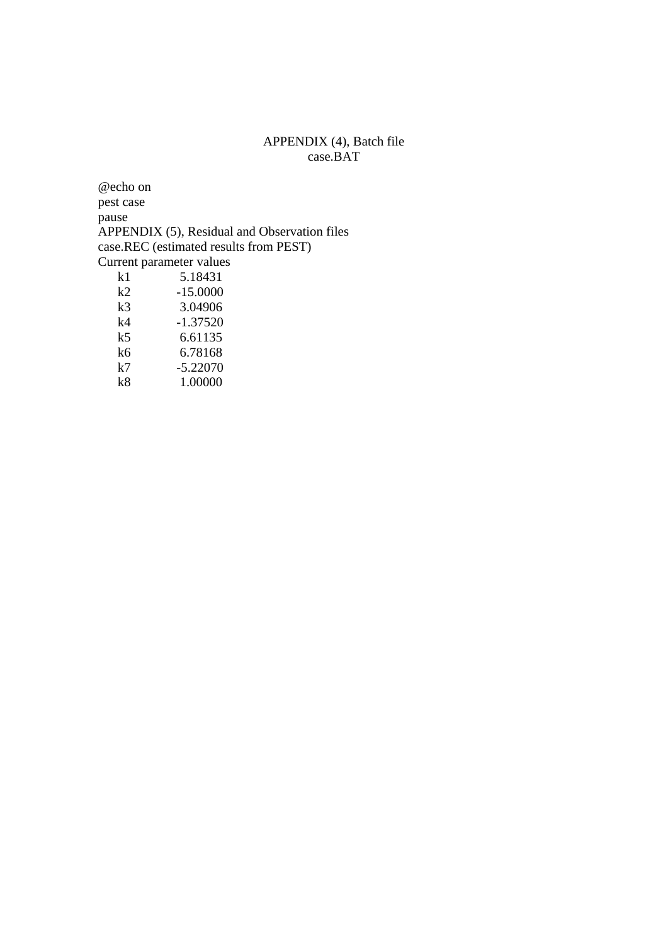### APPENDIX (4), Batch file case.BAT

@echo on pest case pause APPENDIX (5), Residual and Observation files case.REC (estimated results from PEST) Current parameter values<br>
k1 5.18431  $k1$  5.18431<br> $k2$  -15.0000  $-15.0000$ 

| k3 | 3.04906    |
|----|------------|
| k4 | $-1.37520$ |
| k5 | 6.61135    |
| k6 | 6.78168    |
| k7 | $-5.22070$ |
| k8 | 1.00000    |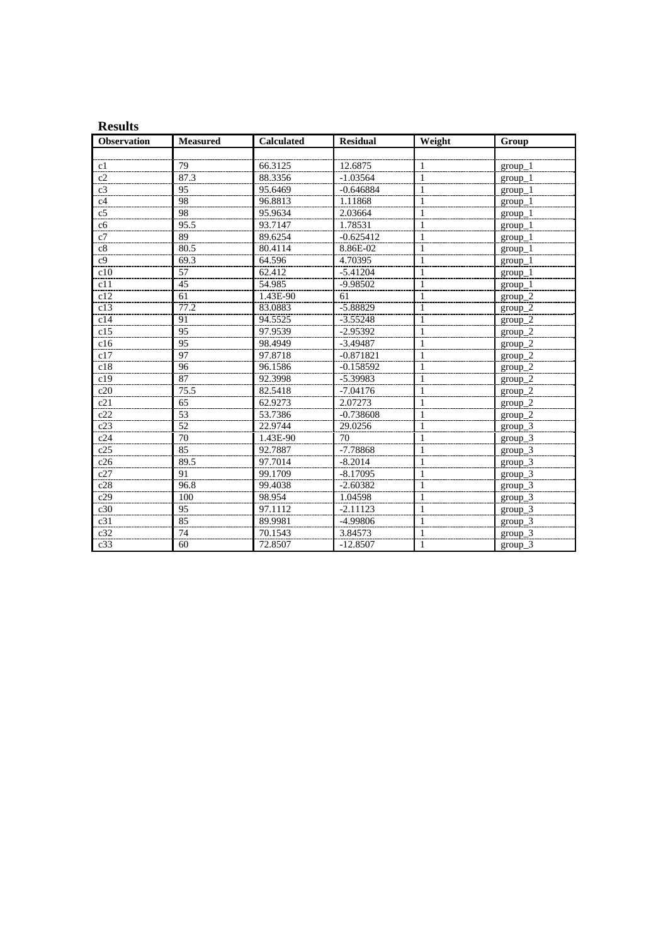| <b>Results</b>     |                 |                   |                 |              |           |
|--------------------|-----------------|-------------------|-----------------|--------------|-----------|
| <b>Observation</b> | <b>Measured</b> | <b>Calculated</b> | <b>Residual</b> | Weight       | Group     |
|                    |                 |                   |                 |              |           |
| c1                 | 79              | 66.3125           | 12.6875         | 1            | $group_1$ |
| c2                 | 87.3            | 88.3356           | $-1.03564$      | 1            | $group_1$ |
| c <sub>3</sub>     | 95              | 95.6469           | $-0.646884$     | 1            | $group_1$ |
| c4                 | 98              | 96.8813           | 1.11868         | $\mathbf{1}$ | $group_1$ |
| c <sub>5</sub>     | 98              | 95.9634           | 2.03664         | 1            | $group_1$ |
| c6                 | 95.5            | 93.7147           | 1.78531         | 1            | $group_1$ |
| c7                 | 89              | 89.6254           | $-0.625412$     | 1            | $group_1$ |
| c8                 | 80.5            | 80.4114           | 8.86E-02        | 1            | $group_1$ |
| c <sub>9</sub>     | 69.3            | 64.596            | 4.70395         | 1            | $group_1$ |
| c10                | $\overline{57}$ | 62.412            | $-5.41204$      | 1            | $group_1$ |
| c11                | $\overline{45}$ | 54.985            | -9.98502        | 1            | $group_1$ |
| c12                | 61              | 1.43E-90          | 61              | 1            | $group_2$ |
| c13                | 77.2            | 83.0883           | $-5.88829$      | 1            | $group_2$ |
| c14                | 91              | 94.5525           | $-3.55248$      | 1            | $group_2$ |
| c15                | 95              | 97.9539           | $-2.95392$      | 1            | $group_2$ |
| c16                | 95              | 98.4949           | $-3.49487$      | 1            | $group_2$ |
| c17                | 97              | 97.8718           | $-0.871821$     | 1            | $group_2$ |
| c18                | 96              | 96.1586           | $-0.158592$     | 1            | $group_2$ |
| c19                | 87              | 92.3998           | $-5.39983$      | 1            | $group_2$ |
| c20                | 75.5            | 82.5418           | $-7.04176$      | 1            | $group_2$ |
| c21                | 65              | 62.9273           | 2.07273         | 1            | $group_2$ |
| c22                | 53              | 53.7386           | $-0.738608$     | 1            | $group_2$ |
| c23                | 52              | 22.9744           | 29.0256         | 1            | $group_3$ |
| c24                | 70              | 1.43E-90          | 70              | 1            | $group_3$ |
| c25                | 85              | 92.7887           | $-7.78868$      | 1            | $group_3$ |
| c26                | 89.5            | 97.7014           | $-8.2014$       | 1            | $group_3$ |
| c27                | 91              | 99.1709           | $-8.17095$      | $\mathbf{1}$ | $group_3$ |
| c28                | 96.8            | 99.4038           | $-2.60382$      | 1            | $group_3$ |
| c29                | 100             | 98.954            | 1.04598         | $\mathbf{1}$ | group_3   |
| c30                | 95              | 97.1112           | $-2.11123$      | 1            | $group_3$ |
| c31                | 85              | 89.9981           | -4.99806        | $\mathbf{1}$ | group_3   |
| c32                | 74              | 70.1543           | 3.84573         | 1            | group_3   |
| c33                | 60              | 72.8507           | $-12.8507$      | 1            | $group_3$ |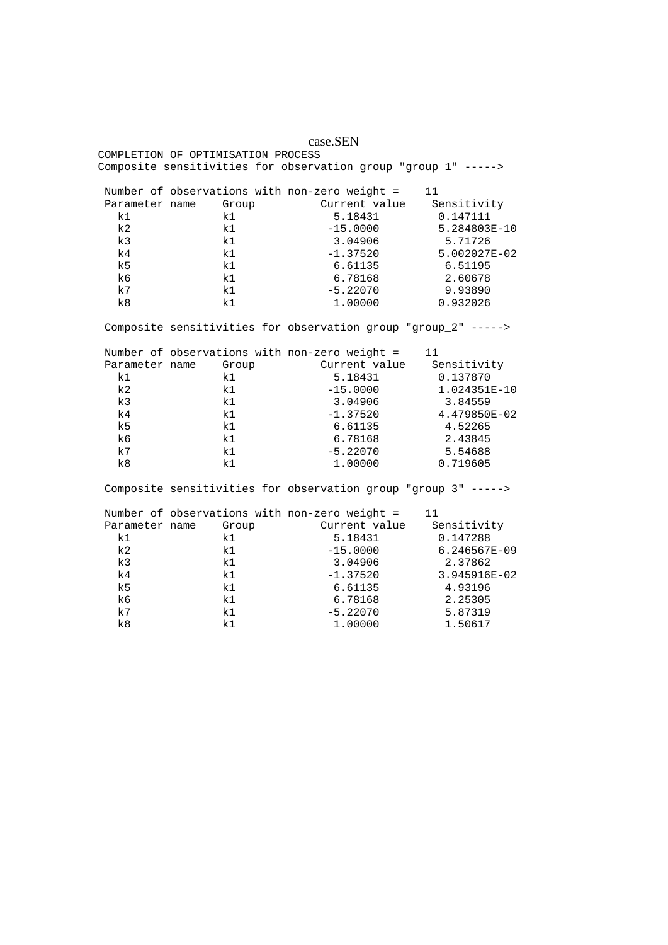#### case.SEN

COMPLETION OF OPTIMISATION PROCESS Composite sensitivities for observation group "group\_1" ----->

|                | Number of observations with non-zero weight = |               | 11           |
|----------------|-----------------------------------------------|---------------|--------------|
| Parameter name | Group                                         | Current value | Sensitivity  |
| k1             | k1                                            | 5.18431       | 0.147111     |
| k <sub>2</sub> | k1                                            | $-15.0000$    | 5.284803E-10 |
| k <sub>3</sub> | k1                                            | 3.04906       | 5.71726      |
| k4             | k1                                            | $-1.37520$    | 5.002027E-02 |
| k <sub>5</sub> | k1                                            | 6.61135       | 6.51195      |
| k6             | k1                                            | 6.78168       | 2.60678      |
| k7             | k1                                            | $-5.22070$    | 9.93890      |
| k8             | k1                                            | 1.00000       | 0.932026     |

Composite sensitivities for observation group "group\_2" ----->

| Number of observations with non-zero weight =<br>11 |       |               |              |  |  |
|-----------------------------------------------------|-------|---------------|--------------|--|--|
| Parameter name                                      | Group | Current value | Sensitivity  |  |  |
| k1                                                  | k1    | 5.18431       | 0.137870     |  |  |
| k2                                                  | k1    | $-15.0000$    | 1.024351E-10 |  |  |
| k <sub>3</sub>                                      | k1    | 3.04906       | 3.84559      |  |  |
| k4                                                  | k1    | $-1.37520$    | 4.479850E-02 |  |  |
| k <sub>5</sub>                                      | k1    | 6.61135       | 4.52265      |  |  |
| k6                                                  | k1    | 6.78168       | 2.43845      |  |  |
| k7                                                  | k1    | $-5.22070$    | 5.54688      |  |  |
| k8                                                  | k1    | 1.00000       | 0.719605     |  |  |

Composite sensitivities for observation group "group\_3" ----->

| Number of observations with non-zero weight =<br>11 |       |               |              |  |  |
|-----------------------------------------------------|-------|---------------|--------------|--|--|
| Parameter name                                      | Group | Current value | Sensitivity  |  |  |
| k1                                                  | k1    | 5.18431       | 0.147288     |  |  |
| k2                                                  | k1    | $-15.0000$    | 6.246567E-09 |  |  |
| k <sub>3</sub>                                      | k1    | 3.04906       | 2.37862      |  |  |
| k4                                                  | k1    | $-1.37520$    | 3.945916E-02 |  |  |
| k <sub>5</sub>                                      | k1    | 6.61135       | 4.93196      |  |  |
| k6                                                  | k1    | 6.78168       | 2.25305      |  |  |
| k7                                                  | k1    | $-5.22070$    | 5.87319      |  |  |
| k8                                                  | k1    | 1.00000       | 1.50617      |  |  |